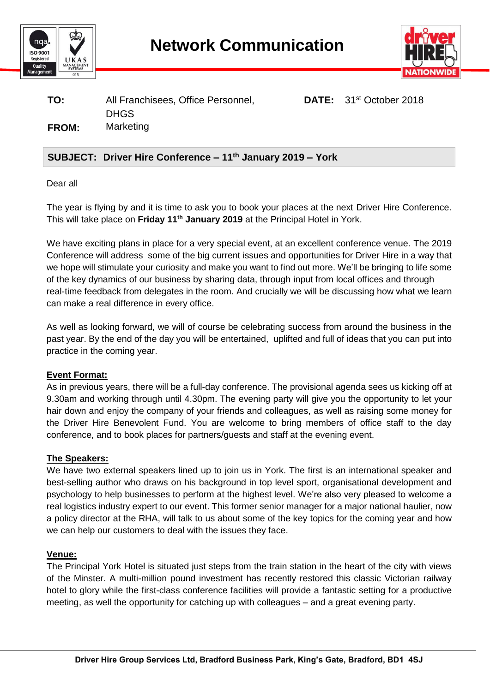



## **TO:** All Franchisees, Office Personnel, **DATE:** 31st October 2018 DHGS **FROM:** Marketing

# **SUBJECT: Driver Hire Conference – 11 th January 2019 – York**

Dear all

The year is flying by and it is time to ask you to book your places at the next Driver Hire Conference. This will take place on Friday 11<sup>th</sup> January 2019 at the Principal Hotel in York.

We have exciting plans in place for a very special event, at an excellent conference venue. The 2019 Conference will address some of the big current issues and opportunities for Driver Hire in a way that we hope will stimulate your curiosity and make you want to find out more. We'll be bringing to life some of the key dynamics of our business by sharing data, through input from local offices and through real-time feedback from delegates in the room. And crucially we will be discussing how what we learn can make a real difference in every office.

As well as looking forward, we will of course be celebrating success from around the business in the past year. By the end of the day you will be entertained, uplifted and full of ideas that you can put into practice in the coming year.

#### **Event Format:**

As in previous years, there will be a full-day conference. The provisional agenda sees us kicking off at 9.30am and working through until 4.30pm. The evening party will give you the opportunity to let your hair down and enjoy the company of your friends and colleagues, as well as raising some money for the Driver Hire Benevolent Fund. You are welcome to bring members of office staff to the day conference, and to book places for partners/guests and staff at the evening event.

#### **The Speakers:**

We have two external speakers lined up to join us in York. The first is an international speaker and best-selling author who draws on his background in top level sport, organisational development and psychology to help businesses to perform at the highest level. We're also very pleased to welcome a real logistics industry expert to our event. This former senior manager for a major national haulier, now a policy director at the RHA, will talk to us about some of the key topics for the coming year and how we can help our customers to deal with the issues they face.

#### **Venue:**

The Principal York Hotel is situated just steps from the train station in the heart of the city with views of the Minster. A multi-million pound investment has recently restored this classic Victorian railway hotel to glory while the first-class conference facilities will provide a fantastic setting for a productive meeting, as well the opportunity for catching up with colleagues – and a great evening party.